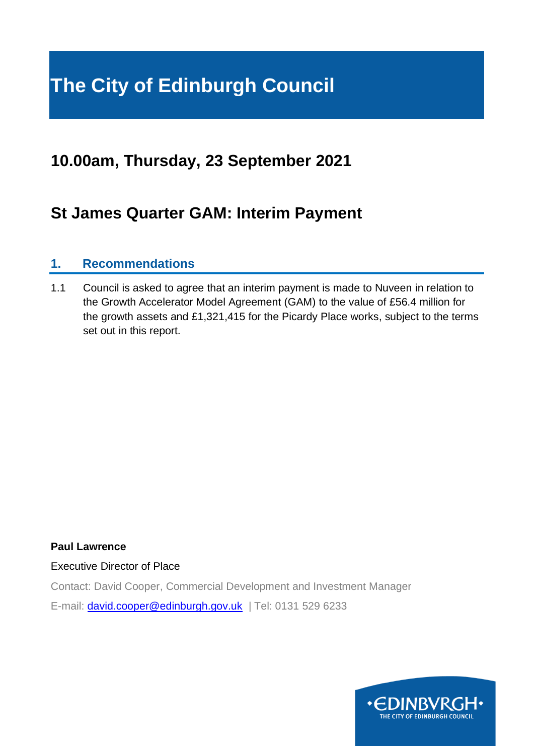### **The City of Edinburgh Council**

#### **10.00am, Thursday, 23 September 2021**

#### **St James Quarter GAM: Interim Payment**

#### **1. Recommendations**

1.1 Council is asked to agree that an interim payment is made to Nuveen in relation to the Growth Accelerator Model Agreement (GAM) to the value of £56.4 million for the growth assets and £1,321,415 for the Picardy Place works, subject to the terms set out in this report.

#### **Paul Lawrence**

Executive Director of Place

Contact: David Cooper, Commercial Development and Investment Manager

E-mail: [david.cooper@edinburgh.gov.uk](mailto:david.cooper@edinburgh.gov.uk) | Tel: 0131 529 6233

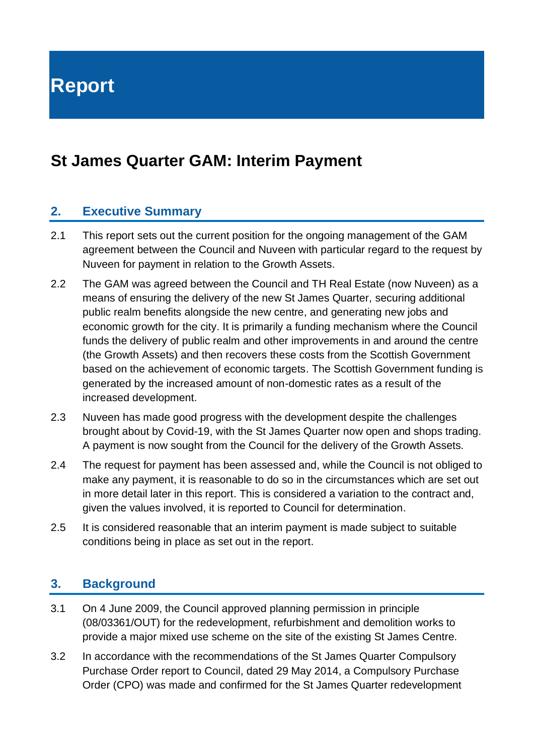**Report**

#### **St James Quarter GAM: Interim Payment**

#### **2. Executive Summary**

- 2.1 This report sets out the current position for the ongoing management of the GAM agreement between the Council and Nuveen with particular regard to the request by Nuveen for payment in relation to the Growth Assets.
- 2.2 The GAM was agreed between the Council and TH Real Estate (now Nuveen) as a means of ensuring the delivery of the new St James Quarter, securing additional public realm benefits alongside the new centre, and generating new jobs and economic growth for the city. It is primarily a funding mechanism where the Council funds the delivery of public realm and other improvements in and around the centre (the Growth Assets) and then recovers these costs from the Scottish Government based on the achievement of economic targets. The Scottish Government funding is generated by the increased amount of non-domestic rates as a result of the increased development.
- 2.3 Nuveen has made good progress with the development despite the challenges brought about by Covid-19, with the St James Quarter now open and shops trading. A payment is now sought from the Council for the delivery of the Growth Assets.
- 2.4 The request for payment has been assessed and, while the Council is not obliged to make any payment, it is reasonable to do so in the circumstances which are set out in more detail later in this report. This is considered a variation to the contract and, given the values involved, it is reported to Council for determination.
- 2.5 It is considered reasonable that an interim payment is made subject to suitable conditions being in place as set out in the report.

#### **3. Background**

- 3.1 On 4 June 2009, the Council approved planning permission in principle (08/03361/OUT) for the redevelopment, refurbishment and demolition works to provide a major mixed use scheme on the site of the existing St James Centre.
- 3.2 In accordance with the recommendations of the St James Quarter Compulsory Purchase Order report to Council, dated 29 May 2014, a Compulsory Purchase Order (CPO) was made and confirmed for the St James Quarter redevelopment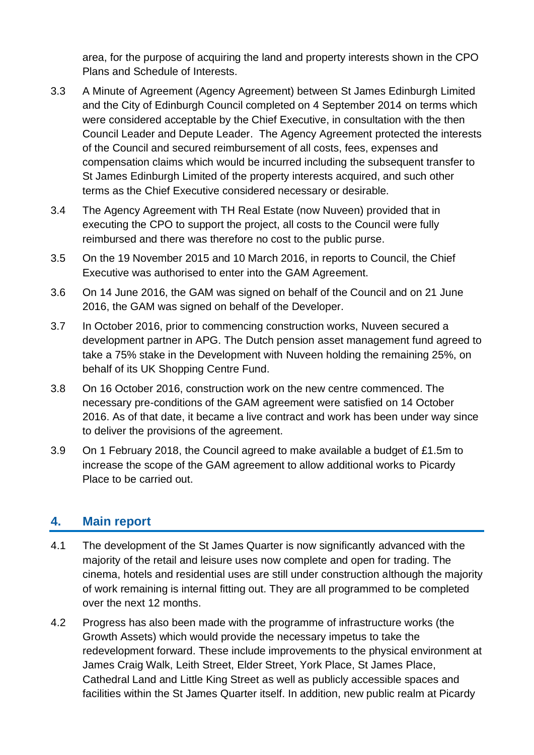area, for the purpose of acquiring the land and property interests shown in the CPO Plans and Schedule of Interests.

- 3.3 A Minute of Agreement (Agency Agreement) between St James Edinburgh Limited and the City of Edinburgh Council completed on 4 September 2014 on terms which were considered acceptable by the Chief Executive, in consultation with the then Council Leader and Depute Leader. The Agency Agreement protected the interests of the Council and secured reimbursement of all costs, fees, expenses and compensation claims which would be incurred including the subsequent transfer to St James Edinburgh Limited of the property interests acquired, and such other terms as the Chief Executive considered necessary or desirable.
- 3.4 The Agency Agreement with TH Real Estate (now Nuveen) provided that in executing the CPO to support the project, all costs to the Council were fully reimbursed and there was therefore no cost to the public purse.
- 3.5 On the 19 November 2015 and 10 March 2016, in reports to Council, the Chief Executive was authorised to enter into the GAM Agreement.
- 3.6 On 14 June 2016, the GAM was signed on behalf of the Council and on 21 June 2016, the GAM was signed on behalf of the Developer.
- 3.7 In October 2016, prior to commencing construction works, Nuveen secured a development partner in APG. The Dutch pension asset management fund agreed to take a 75% stake in the Development with Nuveen holding the remaining 25%, on behalf of its UK Shopping Centre Fund.
- 3.8 On 16 October 2016, construction work on the new centre commenced. The necessary pre-conditions of the GAM agreement were satisfied on 14 October 2016. As of that date, it became a live contract and work has been under way since to deliver the provisions of the agreement.
- 3.9 On 1 February 2018, the Council agreed to make available a budget of £1.5m to increase the scope of the GAM agreement to allow additional works to Picardy Place to be carried out.

#### **4. Main report**

- 4.1 The development of the St James Quarter is now significantly advanced with the majority of the retail and leisure uses now complete and open for trading. The cinema, hotels and residential uses are still under construction although the majority of work remaining is internal fitting out. They are all programmed to be completed over the next 12 months.
- 4.2 Progress has also been made with the programme of infrastructure works (the Growth Assets) which would provide the necessary impetus to take the redevelopment forward. These include improvements to the physical environment at James Craig Walk, Leith Street, Elder Street, York Place, St James Place, Cathedral Land and Little King Street as well as publicly accessible spaces and facilities within the St James Quarter itself. In addition, new public realm at Picardy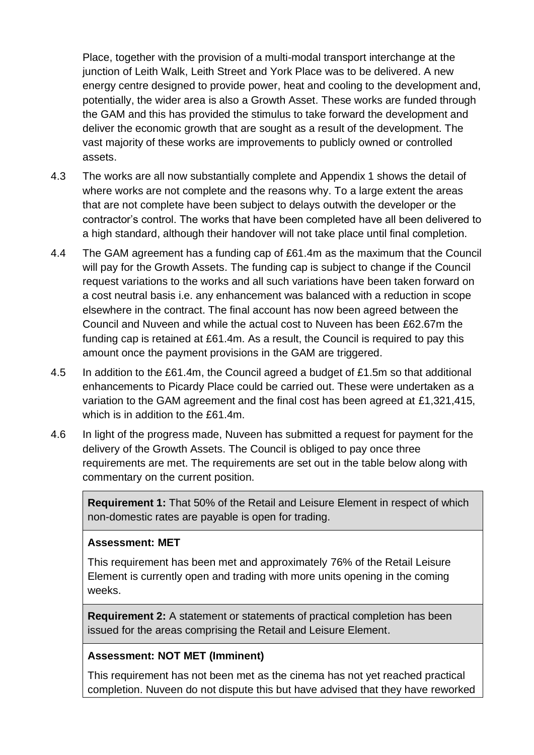Place, together with the provision of a multi-modal transport interchange at the junction of Leith Walk, Leith Street and York Place was to be delivered. A new energy centre designed to provide power, heat and cooling to the development and, potentially, the wider area is also a Growth Asset. These works are funded through the GAM and this has provided the stimulus to take forward the development and deliver the economic growth that are sought as a result of the development. The vast majority of these works are improvements to publicly owned or controlled assets.

- 4.3 The works are all now substantially complete and Appendix 1 shows the detail of where works are not complete and the reasons why. To a large extent the areas that are not complete have been subject to delays outwith the developer or the contractor's control. The works that have been completed have all been delivered to a high standard, although their handover will not take place until final completion.
- 4.4 The GAM agreement has a funding cap of £61.4m as the maximum that the Council will pay for the Growth Assets. The funding cap is subject to change if the Council request variations to the works and all such variations have been taken forward on a cost neutral basis i.e. any enhancement was balanced with a reduction in scope elsewhere in the contract. The final account has now been agreed between the Council and Nuveen and while the actual cost to Nuveen has been £62.67m the funding cap is retained at £61.4m. As a result, the Council is required to pay this amount once the payment provisions in the GAM are triggered.
- 4.5 In addition to the £61.4m, the Council agreed a budget of £1.5m so that additional enhancements to Picardy Place could be carried out. These were undertaken as a variation to the GAM agreement and the final cost has been agreed at £1,321,415, which is in addition to the £61.4m.
- 4.6 In light of the progress made, Nuveen has submitted a request for payment for the delivery of the Growth Assets. The Council is obliged to pay once three requirements are met. The requirements are set out in the table below along with commentary on the current position.

**Requirement 1:** That 50% of the Retail and Leisure Element in respect of which non-domestic rates are payable is open for trading.

#### **Assessment: MET**

This requirement has been met and approximately 76% of the Retail Leisure Element is currently open and trading with more units opening in the coming weeks.

**Requirement 2:** A statement or statements of practical completion has been issued for the areas comprising the Retail and Leisure Element.

#### **Assessment: NOT MET (Imminent)**

This requirement has not been met as the cinema has not yet reached practical completion. Nuveen do not dispute this but have advised that they have reworked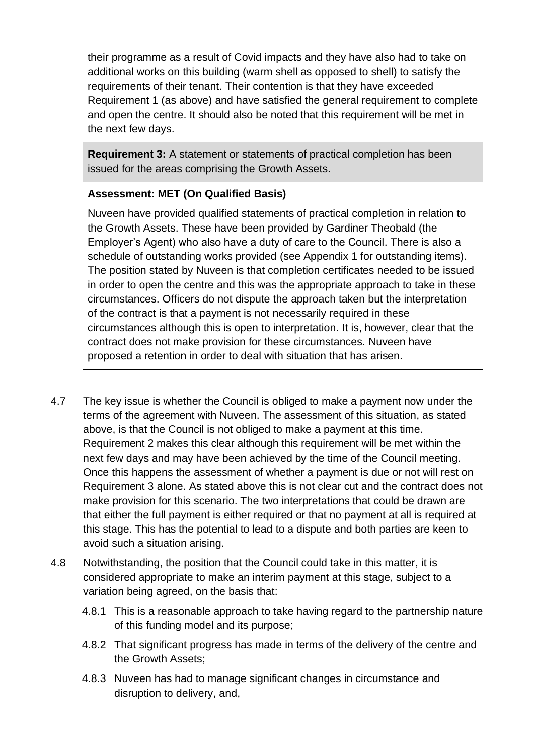their programme as a result of Covid impacts and they have also had to take on additional works on this building (warm shell as opposed to shell) to satisfy the requirements of their tenant. Their contention is that they have exceeded Requirement 1 (as above) and have satisfied the general requirement to complete and open the centre. It should also be noted that this requirement will be met in the next few days.

**Requirement 3:** A statement or statements of practical completion has been issued for the areas comprising the Growth Assets.

#### **Assessment: MET (On Qualified Basis)**

Nuveen have provided qualified statements of practical completion in relation to the Growth Assets. These have been provided by Gardiner Theobald (the Employer's Agent) who also have a duty of care to the Council. There is also a schedule of outstanding works provided (see Appendix 1 for outstanding items). The position stated by Nuveen is that completion certificates needed to be issued in order to open the centre and this was the appropriate approach to take in these circumstances. Officers do not dispute the approach taken but the interpretation of the contract is that a payment is not necessarily required in these circumstances although this is open to interpretation. It is, however, clear that the contract does not make provision for these circumstances. Nuveen have proposed a retention in order to deal with situation that has arisen.

- 4.7 The key issue is whether the Council is obliged to make a payment now under the terms of the agreement with Nuveen. The assessment of this situation, as stated above, is that the Council is not obliged to make a payment at this time. Requirement 2 makes this clear although this requirement will be met within the next few days and may have been achieved by the time of the Council meeting. Once this happens the assessment of whether a payment is due or not will rest on Requirement 3 alone. As stated above this is not clear cut and the contract does not make provision for this scenario. The two interpretations that could be drawn are that either the full payment is either required or that no payment at all is required at this stage. This has the potential to lead to a dispute and both parties are keen to avoid such a situation arising.
- 4.8 Notwithstanding, the position that the Council could take in this matter, it is considered appropriate to make an interim payment at this stage, subject to a variation being agreed, on the basis that:
	- 4.8.1 This is a reasonable approach to take having regard to the partnership nature of this funding model and its purpose;
	- 4.8.2 That significant progress has made in terms of the delivery of the centre and the Growth Assets;
	- 4.8.3 Nuveen has had to manage significant changes in circumstance and disruption to delivery, and,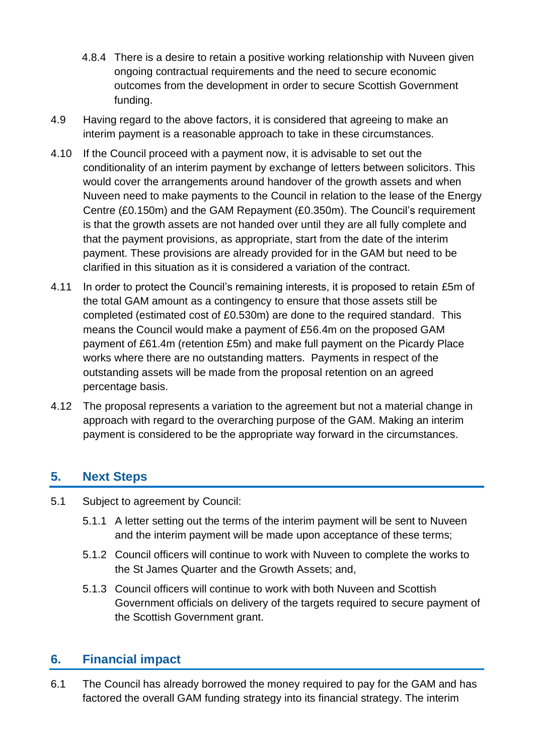- 4.8.4 There is a desire to retain a positive working relationship with Nuveen given ongoing contractual requirements and the need to secure economic outcomes from the development in order to secure Scottish Government funding.
- 4.9 Having regard to the above factors, it is considered that agreeing to make an interim payment is a reasonable approach to take in these circumstances.
- 4.10 If the Council proceed with a payment now, it is advisable to set out the conditionality of an interim payment by exchange of letters between solicitors. This would cover the arrangements around handover of the growth assets and when Nuveen need to make payments to the Council in relation to the lease of the Energy Centre (£0.150m) and the GAM Repayment (£0.350m). The Council's requirement is that the growth assets are not handed over until they are all fully complete and that the payment provisions, as appropriate, start from the date of the interim payment. These provisions are already provided for in the GAM but need to be clarified in this situation as it is considered a variation of the contract.
- 4.11 In order to protect the Council's remaining interests, it is proposed to retain £5m of the total GAM amount as a contingency to ensure that those assets still be completed (estimated cost of £0.530m) are done to the required standard. This means the Council would make a payment of £56.4m on the proposed GAM payment of £61.4m (retention £5m) and make full payment on the Picardy Place works where there are no outstanding matters. Payments in respect of the outstanding assets will be made from the proposal retention on an agreed percentage basis.
- 4.12 The proposal represents a variation to the agreement but not a material change in approach with regard to the overarching purpose of the GAM. Making an interim payment is considered to be the appropriate way forward in the circumstances.

#### **5. Next Steps**

- 5.1 Subject to agreement by Council:
	- 5.1.1 A letter setting out the terms of the interim payment will be sent to Nuveen and the interim payment will be made upon acceptance of these terms;
	- 5.1.2 Council officers will continue to work with Nuveen to complete the works to the St James Quarter and the Growth Assets; and,
	- 5.1.3 Council officers will continue to work with both Nuveen and Scottish Government officials on delivery of the targets required to secure payment of the Scottish Government grant.

#### **6. Financial impact**

6.1 The Council has already borrowed the money required to pay for the GAM and has factored the overall GAM funding strategy into its financial strategy. The interim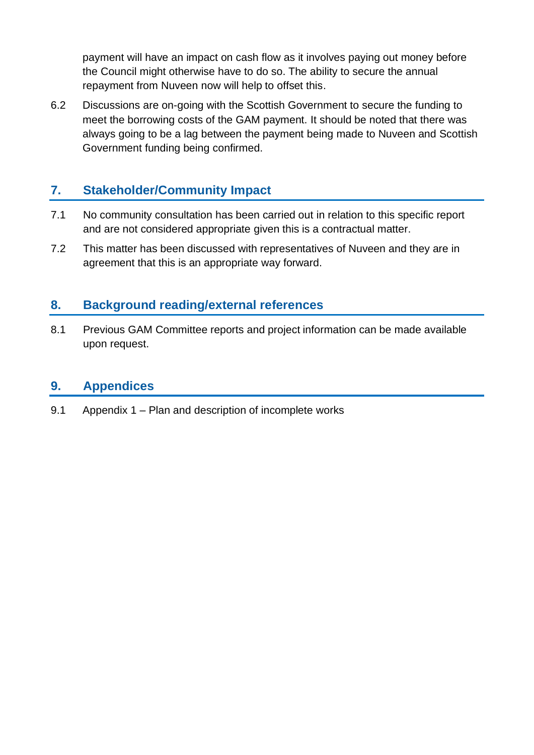payment will have an impact on cash flow as it involves paying out money before the Council might otherwise have to do so. The ability to secure the annual repayment from Nuveen now will help to offset this.

6.2 Discussions are on-going with the Scottish Government to secure the funding to meet the borrowing costs of the GAM payment. It should be noted that there was always going to be a lag between the payment being made to Nuveen and Scottish Government funding being confirmed.

#### **7. Stakeholder/Community Impact**

- 7.1 No community consultation has been carried out in relation to this specific report and are not considered appropriate given this is a contractual matter.
- 7.2 This matter has been discussed with representatives of Nuveen and they are in agreement that this is an appropriate way forward.

#### **8. Background reading/external references**

8.1 Previous GAM Committee reports and project information can be made available upon request.

#### **9. Appendices**

9.1 Appendix 1 – Plan and description of incomplete works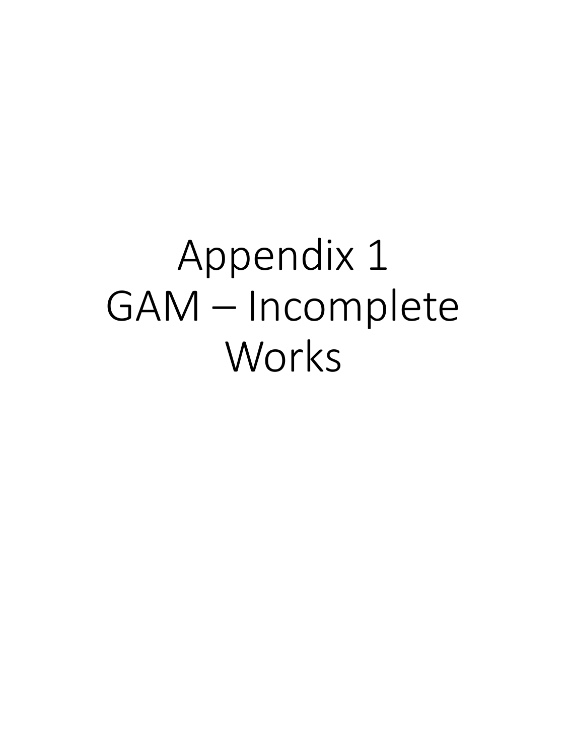# Appendix 1 GAM – Incomplete Works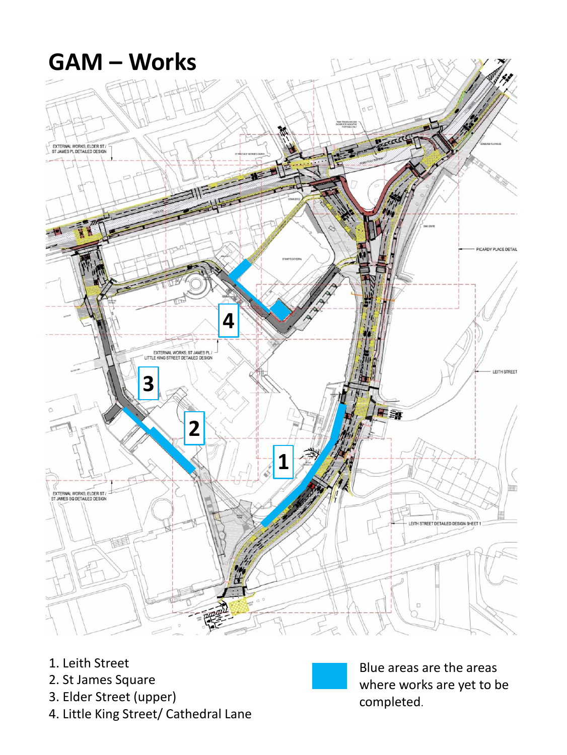- 1. Leith Street
- 2. St James Square
- 3. Elder Street (upper)
- 4. Little King Street/ Cathedral Lane



Blue areas are the areas where works are yet to be completed.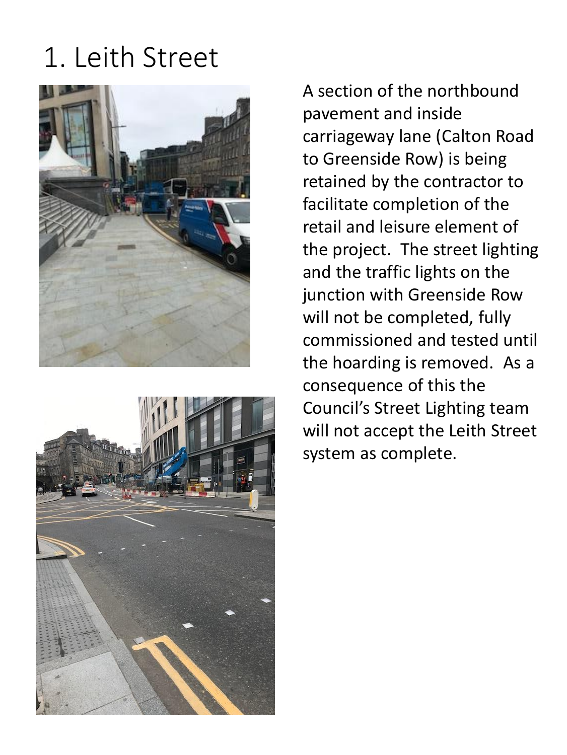### 1. Leith Street





A section of the northbound pavement and inside carriageway lane (Calton Road to Greenside Row) is being retained by the contractor to facilitate completion of the retail and leisure element of the project. The street lighting and the traffic lights on the junction with Greenside Row will not be completed, fully commissioned and tested until the hoarding is removed. As a consequence of this the Council's Street Lighting team will not accept the Leith Street system as complete.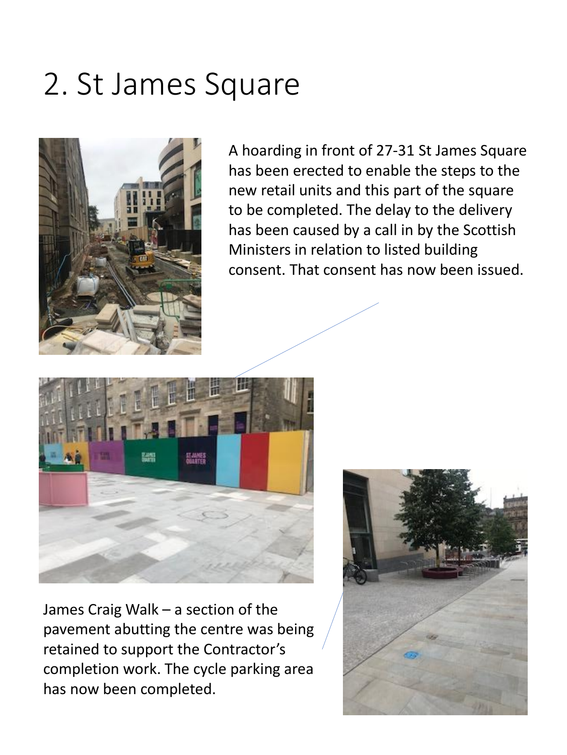### 2. St James Square



A hoarding in front of 27-31 St James Square has been erected to enable the steps to the new retail units and this part of the square to be completed. The delay to the delivery has been caused by a call in by the Scottish Ministers in relation to listed building consent. That consent has now been issued.





James Craig Walk – a section of the pavement abutting the centre was being retained to support the Contractor's completion work. The cycle parking area has now been completed.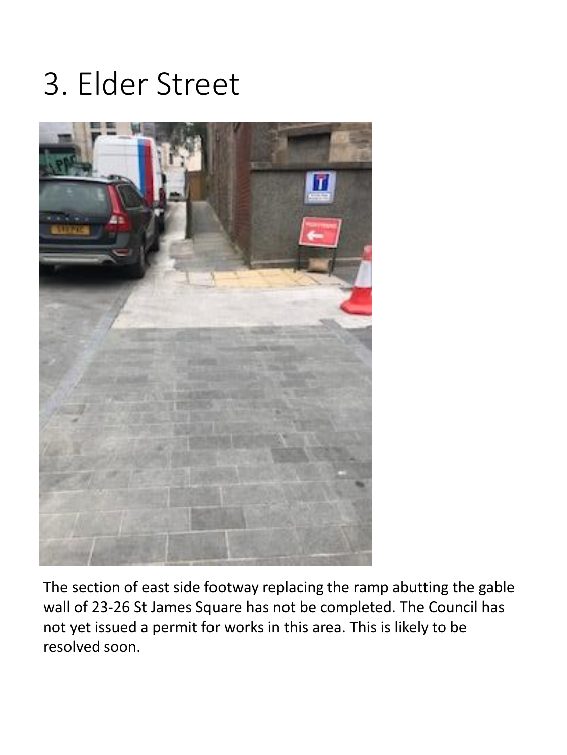### 3. Elder Street



The section of east side footway replacing the ramp abutting the gable wall of 23-26 St James Square has not be completed. The Council has not yet issued a permit for works in this area. This is likely to be resolved soon.